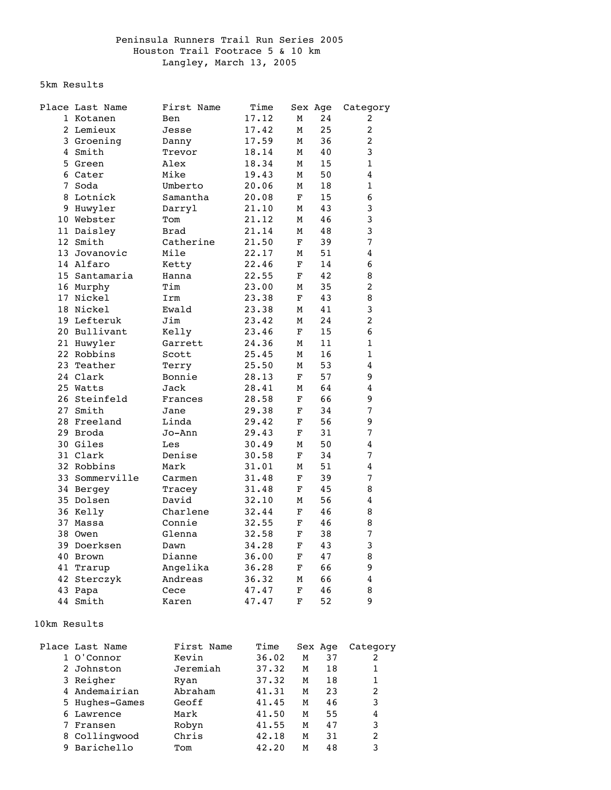## Peninsula Runners Trail Run Series 2005 Houston Trail Footrace 5 & 10 km Langley, March 13, 2005

5km Results

|    | Place Last Name | First Name  | Time  |             | Sex Age | Category       |
|----|-----------------|-------------|-------|-------------|---------|----------------|
|    | 1 Kotanen       | Ben         | 17.12 | М           | 24      | 2              |
|    | 2 Lemieux       | Jesse       | 17.42 | М           | 25      | 2              |
|    | 3 Groening      | Danny       | 17.59 | М           | 36      | 2              |
|    | 4 Smith         | Trevor      | 18.14 | М           | 40      | 3              |
|    | 5 Green         | Alex        | 18.34 | М           | 15      | 1              |
|    | 6 Cater         | Mike        | 19.43 | М           | 50      | 4              |
|    | 7 Soda          | Umberto     | 20.06 | М           | 18      | 1              |
|    | 8 Lotnick       | Samantha    | 20.08 | F           | 15      | 6              |
|    | 9 Huwyler       | Darryl      | 21.10 | М           | 43      | 3              |
|    | 10 Webster      | Tom         | 21.12 | М           | 46      | 3              |
|    | 11 Daisley      | <b>Brad</b> | 21.14 | М           | 48      | 3              |
|    | 12 Smith        | Catherine   | 21.50 | F           | 39      | $\overline{7}$ |
|    | 13 Jovanovic    | Mile        | 22.17 | М           | 51      | $\overline{4}$ |
|    | 14 Alfaro       | Ketty       | 22.46 | F           | 14      | 6              |
|    | 15 Santamaria   | Hanna       | 22.55 | F           | 42      | 8              |
|    | 16 Murphy       | Tim         | 23.00 | М           | 35      | 2              |
|    | 17 Nickel       | Irm         | 23.38 | F           | 43      | 8              |
|    | 18 Nickel       | Ewald       | 23.38 | М           | 41      | 3              |
|    | 19 Lefteruk     | Jim         | 23.42 | М           | 24      | 2              |
|    | 20 Bullivant    | Kelly       | 23.46 | F           | 15      | 6              |
|    | 21 Huwyler      | Garrett     | 24.36 | M           | 11      | 1              |
|    | 22 Robbins      | Scott       | 25.45 | М           | 16      | 1              |
|    | 23 Teather      | Terry       | 25.50 | М           | 53      | 4              |
|    | 24 Clark        | Bonnie      | 28.13 | F           | 57      | 9              |
|    | 25 Watts        | Jack        | 28.41 | М           | 64      | 4              |
|    | 26 Steinfeld    | Frances     | 28.58 | F           | 66      | 9              |
|    | 27 Smith        | Jane        | 29.38 | F           | 34      | 7              |
|    | 28 Freeland     | Linda       | 29.42 | F           | 56      | 9              |
|    | 29 Broda        | Jo-Ann      | 29.43 | F           | 31      | 7              |
|    | 30 Giles        | Les         | 30.49 | M           | 50      | $\overline{4}$ |
|    | 31 Clark        | Denise      | 30.58 | F           | 34      | 7              |
|    | 32 Robbins      | Mark        | 31.01 | М           | 51      | 4              |
|    | 33 Sommerville  | Carmen      | 31.48 | F           | 39      | 7              |
|    | 34 Bergey       | Tracey      | 31.48 | $\mathbf F$ | 45      | 8              |
|    | 35 Dolsen       | David       | 32.10 | М           | 56      | 4              |
|    | 36 Kelly        | Charlene    | 32.44 | F           | 46      | 8              |
|    | 37 Massa        | Connie      | 32.55 | $\mathbf F$ | 46      | 8              |
|    | 38 Owen         | Glenna      | 32.58 | F           | 38      | 7              |
|    | 39 Doerksen     | Dawn        | 34.28 | F           | 43      | 3              |
|    | 40 Brown        | Dianne      | 36.00 | F           | 47      | 8              |
|    | 41 Trarup       | Angelika    | 36.28 | F           | 66      | 9              |
|    | 42 Sterczyk     | Andreas     | 36.32 | M           | 66      | $\bf 4$        |
|    | 43 Papa         | Cece        | 47.47 | F           | 46      | 8              |
| 44 | Smith           | Karen       | 47.47 | $\mathbf F$ | 52      | 9              |

## 10km Results

|   | Place Last Name | First Name | Time  | Sex Age |    | Category |
|---|-----------------|------------|-------|---------|----|----------|
|   | 1 O'Connor      | Kevin      | 36.02 | M       | 37 | 2        |
|   | 2 Johnston      | Jeremiah   | 37.32 | M       | 18 |          |
|   | 3 Reigher       | Ryan       | 37.32 | M       | 18 |          |
|   | 4 Andemairian   | Abraham    | 41.31 | M       | 23 | 2        |
|   | 5 Hughes-Games  | Geoff      | 41.45 | M       | 46 | 3        |
|   | 6 Lawrence      | Mark       | 41.50 | M       | 55 | 4        |
|   | Fransen         | Robyn      | 41.55 | M       | 47 | 3        |
|   | 8 Collingwood   | Chris      | 42.18 | M       | 31 | 2        |
| 9 | Barichello      | Tom        | 42.20 | M       | 48 | 3        |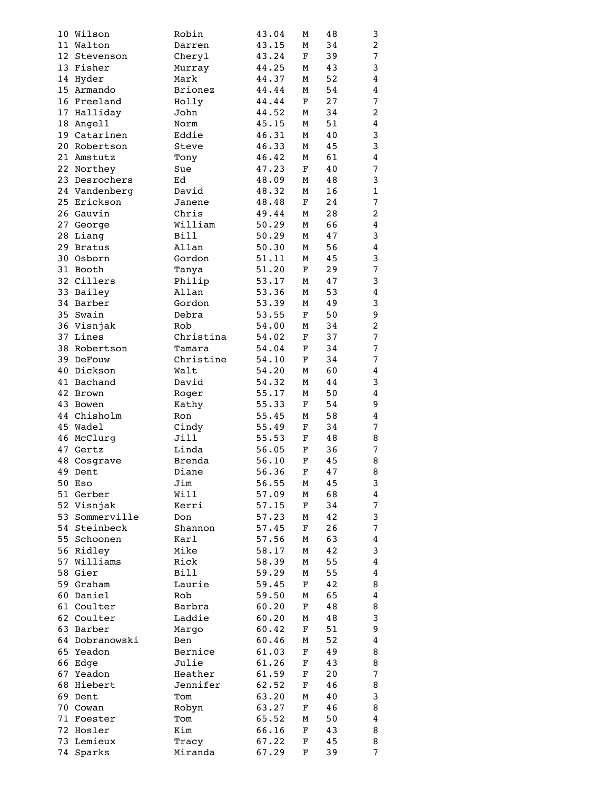|    | 10 Wilson              | Robin          | 43.04 | М           | 48 | 3                       |
|----|------------------------|----------------|-------|-------------|----|-------------------------|
|    | 11 Walton              | Darren         | 43.15 | М           | 34 | $\overline{2}$          |
|    | 12 Stevenson           | Cheryl         | 43.24 | F           | 39 | $\boldsymbol{7}$        |
|    | 13 Fisher              | Murray         | 44.25 | М           | 43 | 3                       |
|    | 14 Hyder               | Mark           | 44.37 | М           | 52 | 4                       |
|    | 15 Armando             | <b>Brionez</b> | 44.44 | М           | 54 | $\bf 4$                 |
|    | 16 Freeland            | Holly          | 44.44 | F           | 27 | $\overline{7}$          |
|    | 17 Halliday            | John           | 44.52 | М           | 34 | $\overline{a}$          |
|    | 18 Angell              | Norm           | 45.15 | М           | 51 | $\bf 4$                 |
|    | 19 Catarinen           | Eddie          | 46.31 | М           | 40 | 3                       |
|    | 20 Robertson           | Steve          | 46.33 | М           | 45 | 3                       |
|    |                        |                | 46.42 |             | 61 | $\bf 4$                 |
|    | 21 Amstutz             | Tony           |       | М           |    |                         |
|    | 22 Northey             | Sue            | 47.23 | $\mathbf F$ | 40 | $\boldsymbol{7}$        |
|    | 23 Desrochers          | Ed             | 48.09 | М           | 48 | 3                       |
|    | 24 Vandenberg          | David          | 48.32 | М           | 16 | $\mathbf 1$             |
|    | 25 Erickson            | Janene         | 48.48 | F           | 24 | $\overline{7}$          |
|    | 26 Gauvin              | Chris          | 49.44 | М           | 28 | $\overline{c}$          |
|    | 27 George              | William        | 50.29 | М           | 66 | $\boldsymbol{4}$        |
|    | 28 Liang               | <b>Bill</b>    | 50.29 | М           | 47 | 3                       |
|    | 29 Bratus              | Allan          | 50.30 | М           | 56 | $\overline{4}$          |
|    | 30 Osborn              | Gordon         | 51.11 | М           | 45 | 3                       |
|    | 31 Booth               | Tanya          | 51.20 | F           | 29 | $\boldsymbol{7}$        |
|    | 32 Cillers             | Philip         | 53.17 | М           | 47 | 3                       |
|    | 33 Bailey              | Allan          | 53.36 | М           | 53 | $\boldsymbol{4}$        |
|    | 34 Barber              | Gordon         | 53.39 | М           | 49 | 3                       |
|    | 35 Swain               | Debra          | 53.55 | F           | 50 | 9                       |
|    | 36 Visnjak             | Rob            | 54.00 | М           | 34 | $\boldsymbol{2}$        |
|    | 37 Lines               | Christina      | 54.02 | F           | 37 | $\boldsymbol{7}$        |
|    | 38 Robertson           | Tamara         | 54.04 | F           | 34 | $\boldsymbol{7}$        |
|    | 39 DeFouw              | Christine      | 54.10 | F           | 34 | $\boldsymbol{7}$        |
|    | 40 Dickson             | Walt           | 54.20 | М           | 60 | $\boldsymbol{4}$        |
|    | 41 Bachand             | David          | 54.32 | М           | 44 | 3                       |
| 42 | Brown                  | Roger          | 55.17 | М           | 50 | $\overline{4}$          |
| 43 | Bowen                  | Kathy          | 55.33 | F           | 54 | 9                       |
|    | 44 Chisholm            | Ron            | 55.45 | М           | 58 | $\bf 4$                 |
|    | 45 Wadel               | Cindy          | 55.49 | F           | 34 | $\boldsymbol{7}$        |
|    | 46 McClurg             | Jill           | 55.53 | F           | 48 | 8                       |
|    | 47 Gertz               | Linda          | 56.05 | F           | 36 | $\boldsymbol{7}$        |
|    |                        | <b>Brenda</b>  | 56.10 | F           | 45 | 8                       |
|    | 48 Cosgrave<br>49 Dent |                |       | $\mathbf F$ |    | 8                       |
|    |                        | Diane          | 56.36 |             | 47 |                         |
|    | 50 Eso                 | Jim            | 56.55 | Μ           | 45 | 3                       |
|    | 51 Gerber              | Will           | 57.09 | М           | 68 | $\overline{\mathbf{4}}$ |
|    | 52 Visnjak             | Kerri          | 57.15 | F           | 34 | $\boldsymbol{7}$        |
|    | 53 Sommerville         | Don            | 57.23 | М           | 42 | 3                       |
|    | 54 Steinbeck           | Shannon        | 57.45 | F           | 26 | $\boldsymbol{7}$        |
|    | 55 Schoonen            | Karl           | 57.56 | М           | 63 | $\bf 4$                 |
|    | 56 Ridley              | Mike           | 58.17 | М           | 42 | 3                       |
|    | 57 Williams            | Rick           | 58.39 | М           | 55 | $\bf 4$                 |
|    | 58 Gier                | Bill           | 59.29 | М           | 55 | $\bf 4$                 |
|    | 59 Graham              | Laurie         | 59.45 | F           | 42 | 8                       |
|    | 60 Daniel              | Rob            | 59.50 | М           | 65 | $\bf 4$                 |
|    | 61 Coulter             | Barbra         | 60.20 | F           | 48 | 8                       |
|    | 62 Coulter             | Laddie         | 60.20 | М           | 48 | 3                       |
|    | 63 Barber              | Margo          | 60.42 | F           | 51 | 9                       |
|    | 64 Dobranowski         | Ben            | 60.46 | М           | 52 | $\bf 4$                 |
|    | 65 Yeadon              | Bernice        | 61.03 | F           | 49 | 8                       |
|    | 66 Edge                | Julie          | 61.26 | F           | 43 | 8                       |
|    | 67 Yeadon              | Heather        | 61.59 | F           | 20 | $\boldsymbol{7}$        |
|    | 68 Hiebert             | Jennifer       | 62.52 | F           | 46 | $\, 8$                  |
|    | 69 Dent                | Tom            | 63.20 | М           | 40 | 3                       |
|    | 70 Cowan               | Robyn          | 63.27 | F           | 46 | 8                       |
|    | 71 Foester             | Tom            | 65.52 | М           | 50 | $\bf 4$                 |
|    | 72 Hosler              | Kim            | 66.16 | F           | 43 | 8                       |
|    | 73 Lemieux             | Tracy          | 67.22 | F           | 45 | 8                       |
|    | 74 Sparks              | Miranda        | 67.29 | F           | 39 | $\boldsymbol{7}$        |
|    |                        |                |       |             |    |                         |